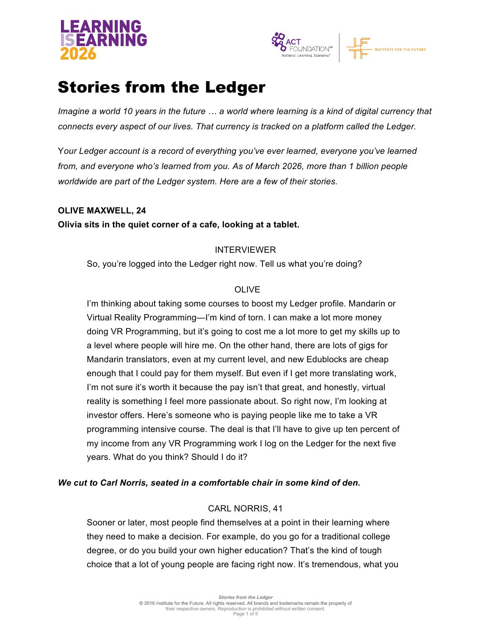



# Stories from the Ledger

*Imagine a world 10 years in the future … a world where learning is a kind of digital currency that connects every aspect of our lives. That currency is tracked on a platform called the Ledger.*

Y*our Ledger account is a record of everything you've ever learned, everyone you've learned from, and everyone who's learned from you. As of March 2026, more than 1 billion people worldwide are part of the Ledger system. Here are a few of their stories.*

## **OLIVE MAXWELL, 24 Olivia sits in the quiet corner of a cafe, looking at a tablet.**

## INTERVIEWER

So, you're logged into the Ledger right now. Tell us what you're doing?

## OLIVE

I'm thinking about taking some courses to boost my Ledger profile. Mandarin or Virtual Reality Programming—I'm kind of torn. I can make a lot more money doing VR Programming, but it's going to cost me a lot more to get my skills up to a level where people will hire me. On the other hand, there are lots of gigs for Mandarin translators, even at my current level, and new Edublocks are cheap enough that I could pay for them myself. But even if I get more translating work, I'm not sure it's worth it because the pay isn't that great, and honestly, virtual reality is something I feel more passionate about. So right now, I'm looking at investor offers. Here's someone who is paying people like me to take a VR programming intensive course. The deal is that I'll have to give up ten percent of my income from any VR Programming work I log on the Ledger for the next five years. What do you think? Should I do it?

## *We cut to Carl Norris, seated in a comfortable chair in some kind of den.*

## CARL NORRIS, 41

Sooner or later, most people find themselves at a point in their learning where they need to make a decision. For example, do you go for a traditional college degree, or do you build your own higher education? That's the kind of tough choice that a lot of young people are facing right now. It's tremendous, what you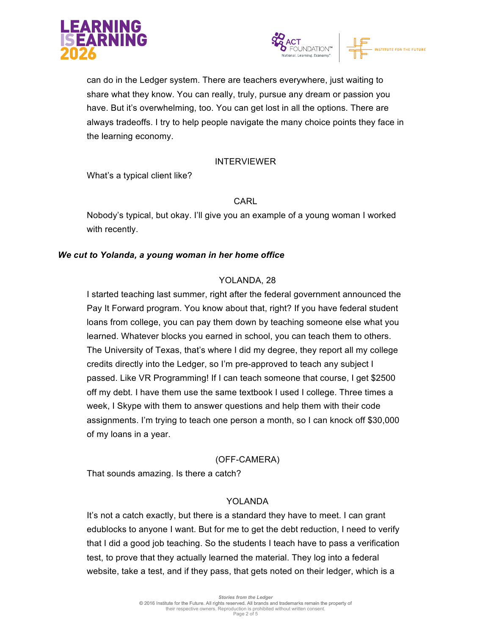



can do in the Ledger system. There are teachers everywhere, just waiting to share what they know. You can really, truly, pursue any dream or passion you have. But it's overwhelming, too. You can get lost in all the options. There are always tradeoffs. I try to help people navigate the many choice points they face in the learning economy.

#### INTERVIEWER

What's a typical client like?

## CARL

Nobody's typical, but okay. I'll give you an example of a young woman I worked with recently.

## *We cut to Yolanda, a young woman in her home office*

## YOLANDA, 28

I started teaching last summer, right after the federal government announced the Pay It Forward program. You know about that, right? If you have federal student loans from college, you can pay them down by teaching someone else what you learned. Whatever blocks you earned in school, you can teach them to others. The University of Texas, that's where I did my degree, they report all my college credits directly into the Ledger, so I'm pre-approved to teach any subject I passed. Like VR Programming! If I can teach someone that course, I get \$2500 off my debt. I have them use the same textbook I used I college. Three times a week, I Skype with them to answer questions and help them with their code assignments. I'm trying to teach one person a month, so I can knock off \$30,000 of my loans in a year.

## (OFF-CAMERA)

That sounds amazing. Is there a catch?

#### YOL ANDA

It's not a catch exactly, but there is a standard they have to meet. I can grant edublocks to anyone I want. But for me to get the debt reduction, I need to verify that I did a good job teaching. So the students I teach have to pass a verification test, to prove that they actually learned the material. They log into a federal website, take a test, and if they pass, that gets noted on their ledger, which is a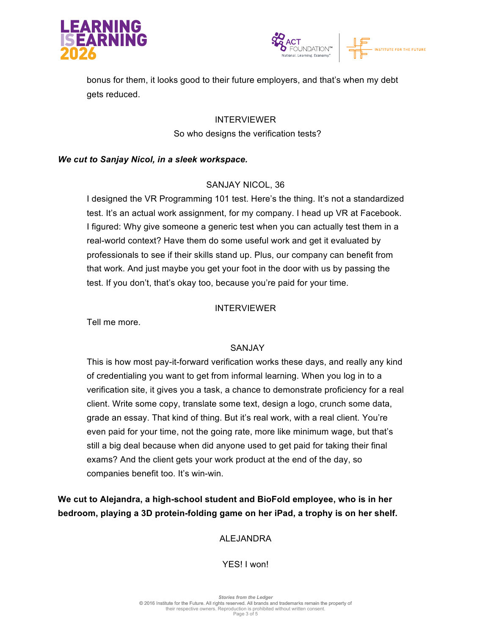



bonus for them, it looks good to their future employers, and that's when my debt gets reduced.

> INTERVIEWER So who designs the verification tests?

#### *We cut to Sanjay Nicol, in a sleek workspace.*

## SANJAY NICOL, 36

I designed the VR Programming 101 test. Here's the thing. It's not a standardized test. It's an actual work assignment, for my company. I head up VR at Facebook. I figured: Why give someone a generic test when you can actually test them in a real-world context? Have them do some useful work and get it evaluated by professionals to see if their skills stand up. Plus, our company can benefit from that work. And just maybe you get your foot in the door with us by passing the test. If you don't, that's okay too, because you're paid for your time.

#### INTERVIEWER

Tell me more.

#### SANJAY

This is how most pay-it-forward verification works these days, and really any kind of credentialing you want to get from informal learning. When you log in to a verification site, it gives you a task, a chance to demonstrate proficiency for a real client. Write some copy, translate some text, design a logo, crunch some data, grade an essay. That kind of thing. But it's real work, with a real client. You're even paid for your time, not the going rate, more like minimum wage, but that's still a big deal because when did anyone used to get paid for taking their final exams? And the client gets your work product at the end of the day, so companies benefit too. It's win-win.

**We cut to Alejandra, a high-school student and BioFold employee, who is in her bedroom, playing a 3D protein-folding game on her iPad, a trophy is on her shelf.**

## ALEJANDRA

## YES! I won!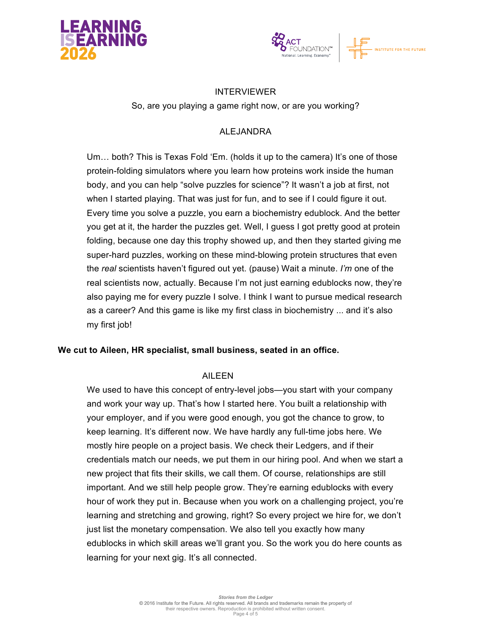



#### INTERVIEWER

So, are you playing a game right now, or are you working?

## ALEJANDRA

Um… both? This is Texas Fold 'Em. (holds it up to the camera) It's one of those protein-folding simulators where you learn how proteins work inside the human body, and you can help "solve puzzles for science"? It wasn't a job at first, not when I started playing. That was just for fun, and to see if I could figure it out. Every time you solve a puzzle, you earn a biochemistry edublock. And the better you get at it, the harder the puzzles get. Well, I guess I got pretty good at protein folding, because one day this trophy showed up, and then they started giving me super-hard puzzles, working on these mind-blowing protein structures that even the *real* scientists haven't figured out yet. (pause) Wait a minute. *I'm* one of the real scientists now, actually. Because I'm not just earning edublocks now, they're also paying me for every puzzle I solve. I think I want to pursue medical research as a career? And this game is like my first class in biochemistry ... and it's also my first job!

#### **We cut to Aileen, HR specialist, small business, seated in an office.**

#### AILEEN

We used to have this concept of entry-level jobs—you start with your company and work your way up. That's how I started here. You built a relationship with your employer, and if you were good enough, you got the chance to grow, to keep learning. It's different now. We have hardly any full-time jobs here. We mostly hire people on a project basis. We check their Ledgers, and if their credentials match our needs, we put them in our hiring pool. And when we start a new project that fits their skills, we call them. Of course, relationships are still important. And we still help people grow. They're earning edublocks with every hour of work they put in. Because when you work on a challenging project, you're learning and stretching and growing, right? So every project we hire for, we don't just list the monetary compensation. We also tell you exactly how many edublocks in which skill areas we'll grant you. So the work you do here counts as learning for your next gig. It's all connected.